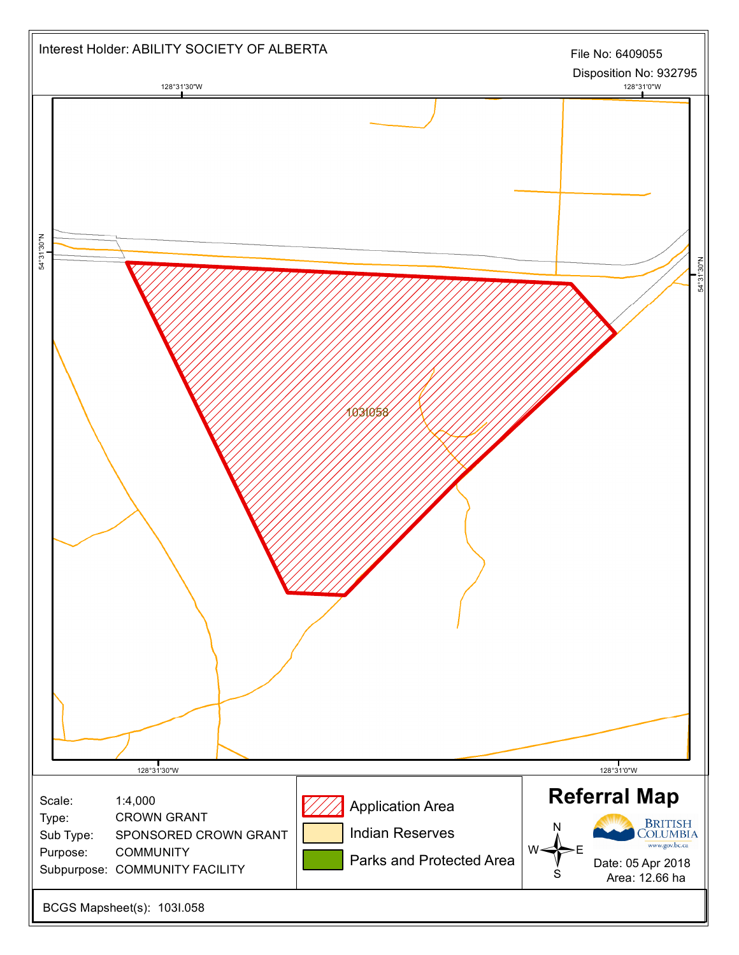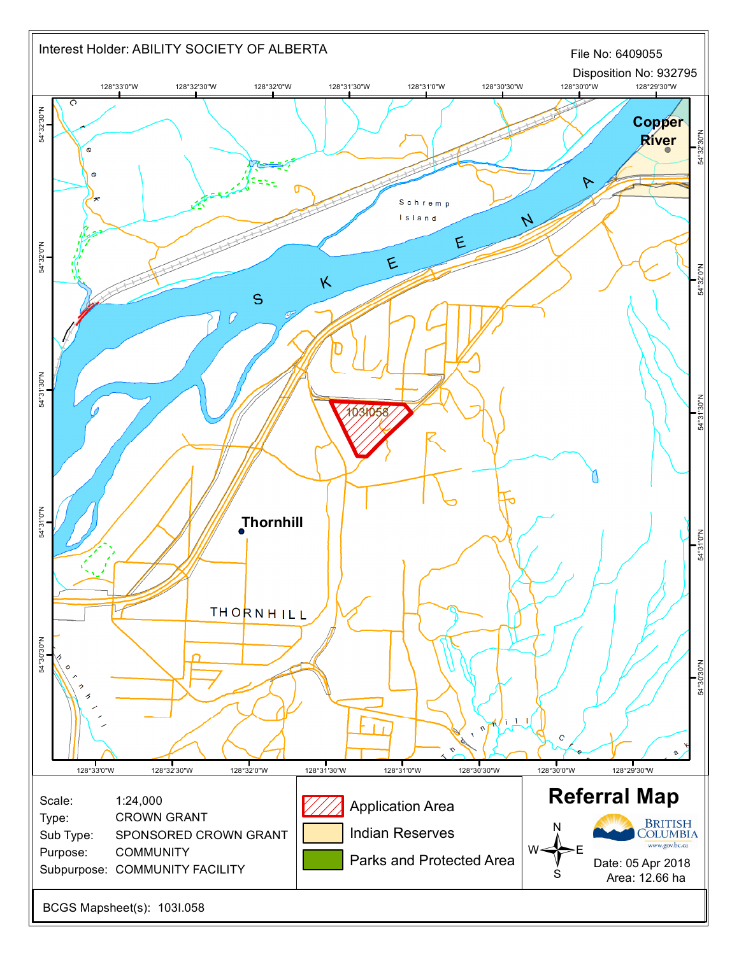